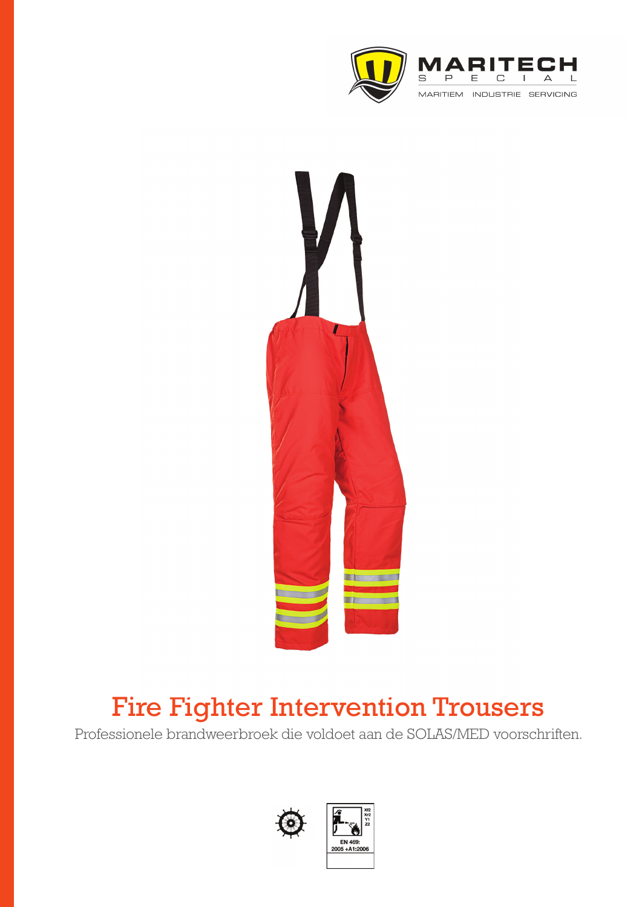



# Fire Fighter Intervention Trousers

Professionele brandweerbroek die voldoet aan de SOLAS/MED voorschriften.